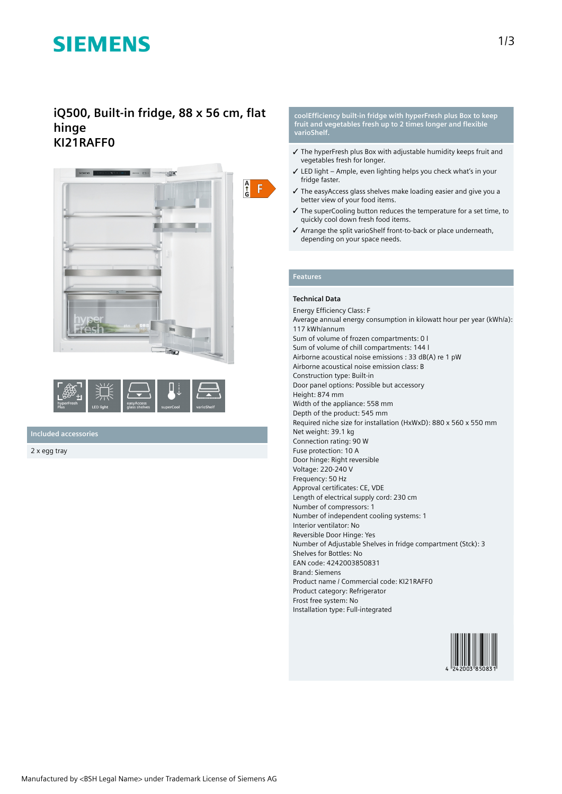# **SIEMENS**

## **iQ500, Built-in fridge, 88 x 56 cm, flat hinge KI21RAFF0**





## **Included accessories**

2 x egg tray

#### **coolEfficiency built-in fridge with hyperFresh plus Box to keep fruit and vegetables fresh up to 2 times longer and flexible varioShelf.**

- ✓ The hyperFresh plus Box with adjustable humidity keeps fruit and vegetables fresh for longer.
- ✓ LED light Ample, even lighting helps you check what's in your fridge faster.
- ✓ The easyAccess glass shelves make loading easier and give you a better view of your food items.
- ✓ The superCooling button reduces the temperature for a set time, to quickly cool down fresh food items.
- ✓ Arrange the split varioShelf front-to-back or place underneath, depending on your space needs.

## **Features**

### **Technical Data**

Energy Efficiency Class: F Average annual energy consumption in kilowatt hour per year (kWh/a): 117 kWh/annum Sum of volume of frozen compartments: 0 l Sum of volume of chill compartments: 144 l Airborne acoustical noise emissions : 33 dB(A) re 1 pW Airborne acoustical noise emission class: B Construction type: Built-in Door panel options: Possible but accessory Height: 874 mm Width of the appliance: 558 mm Depth of the product: 545 mm Required niche size for installation (HxWxD): 880 x 560 x 550 mm Net weight: 39.1 kg Connection rating: 90 W Fuse protection: 10 A Door hinge: Right reversible Voltage: 220-240 V Frequency: 50 Hz Approval certificates: CE, VDE Length of electrical supply cord: 230 cm Number of compressors: 1 Number of independent cooling systems: 1 Interior ventilator: No Reversible Door Hinge: Yes Number of Adjustable Shelves in fridge compartment (Stck): 3 Shelves for Bottles: No EAN code: 4242003850831 Brand: Siemens Product name / Commercial code: KI21RAFF0 Product category: Refrigerator Frost free system: No Installation type: Full-integrated

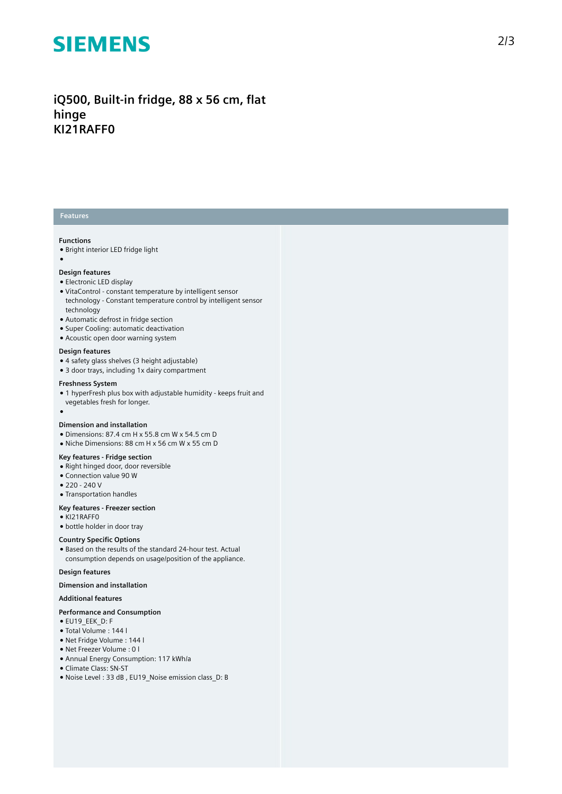## **SIEMENS**

iQ500, Built-in fridge, 88 x 56 cm, flat **h i n g e KI21RAFF0**

## **Features**

## **Functions**

 $\bullet$  Bright interior LED fridge light

### ●

### Design features

- Electronic LED display
- VitaControl constant temperature by intelligent sensor technology - Constant temperature control by intelligent sensor t e c h n olo g y
- Automatic defrost in fridge section
- Super Cooling: automatic deactivation
- Acoustic open door warning system

#### Design features

- 4 safety glass shelves (3 height adjustable)
- 3 door trays, including 1x dairy compartment

#### **Freshness System**

- 1 hyperFresh plus box with adjustable humidity keeps fruit and
- vegetables fresh for longer.  $\overline{\phantom{a}}$

#### Dimension and installation

- Dimensions: 87.4 cm H x 55.8 cm W x 54.5 cm D
- Niche Dimensions: 88 cm H x 56 cm W x 55 cm D

#### **Key features - Fridge section**

- Right hinged door, door reversible
- Connection value 90 W
- 220 240 V
- Transportation handles

#### **Key features - Freezer section**

- KI21RAFF0
- bottle holder in door tray

#### **Country Specific Options**

• Based on the results of the standard 24-hour test. Actual consumption depends on usage/position of the applianc e .

#### Design features

#### Dimension and installation

#### **Additional features**

#### Performance and Consumption

- EU19\_EEK\_D: F
- Total Volume : 1 4 4 l
- Net Fridge Volume : 1 4 4 l
- Net Freezer Volume : 0 l
- Annual Energy Consumption: 117 kWh/a
- Climate Class: SN-ST
- Noise Level: 33 dB, EU19 Noise emission class D: B